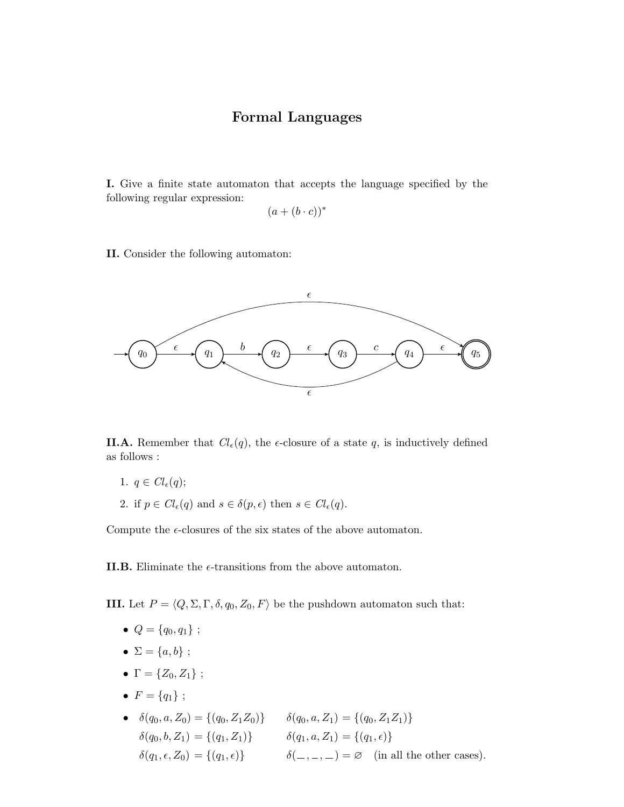## Formal Languages

I. Give a finite state automaton that accepts the language specified by the following regular expression:

$$
(a + (b \cdot c))^*
$$

II. Consider the following automaton:



**II.A.** Remember that  $Cl_{\epsilon}(q)$ , the  $\epsilon$ -closure of a state q, is inductively defined as follows :

- 1.  $q \in Cl_{\epsilon}(q);$
- 2. if  $p \in Cl_{\epsilon}(q)$  and  $s \in \delta(p, \epsilon)$  then  $s \in Cl_{\epsilon}(q)$ .

Compute the  $\epsilon$ -closures of the six states of the above automaton.

**II.B.** Eliminate the  $\epsilon$ -transitions from the above automaton.

**III.** Let  $P = \langle Q, \Sigma, \Gamma, \delta, q_0, Z_0, F \rangle$  be the pushdown automaton such that:

- $Q = \{q_0, q_1\}$ ;
- $\Sigma = \{a, b\}$ ;
- $\Gamma = \{Z_0, Z_1\}$ ;
- $F = \{q_1\}$ ;
- $\delta(q_0, a, Z_0) = \{(q_0, Z_1Z_0)\}$   $\delta(q_0, a, Z_1) = \{(q_0, Z_1Z_1)\}$  $\delta(q_0, b, Z_1) = \{(q_1, Z_1)\}$   $\delta(q_1, a, Z_1) = \{(q_1, \epsilon)\}$  $\delta(q_1, \epsilon, Z_0) = \{(q_1, \epsilon)\}\qquad \delta(\_,\_,\_) = \varnothing \quad \text{(in all the other cases)}.$